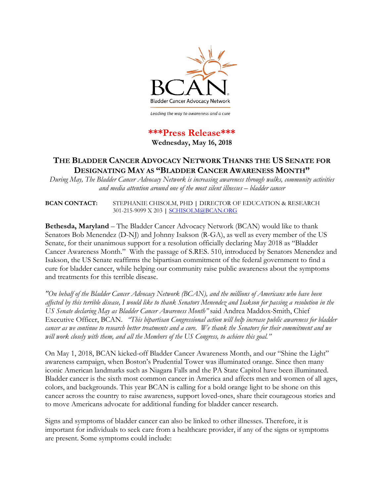

Leading the way to awareness and a cure

## **\*\*\*Press Release\*\*\***

**Wednesday, May 16, 2018**

## **THE BLADDER CANCER ADVOCACY NETWORK THANKS THE US SENATE FOR DESIGNATING MAY AS "BLADDER CANCER AWARENESS MONTH"**

*During May, The Bladder Cancer Advocacy Network is increasing awareness through walks, community activities and media attention around one of the most silent illnesses – bladder cancer* 

**BCAN CONTACT:** STEPHANIE CHISOLM, PHD **|** DIRECTOR OF EDUCATION & RESEARCH 301-215-9099 X 203 **|** [SCHISOLM@BCAN.ORG](mailto:SCHISOLM@BCAN.ORG)

**Bethesda, Maryland** – The Bladder Cancer Advocacy Network (BCAN) would like to thank Senators Bob Menendez (D-NJ) and Johnny Isakson (R-GA), as well as every member of the US Senate, for their unanimous support for a resolution officially declaring May 2018 as "Bladder Cancer Awareness Month." With the passage of S.RES. 510, introduced by Senators Menendez and Isakson, the US Senate reaffirms the bipartisan commitment of the federal government to find a cure for bladder cancer, while helping our community raise public awareness about the symptoms and treatments for this terrible disease.

*"On behalf of the Bladder Cancer Advocacy Network (BCAN), and the millions of Americans who have been affected by this terrible disease, I would like to thank Senators Menendez and Isakson for passing a resolution in the US Senate declaring May as Bladder Cancer Awareness Month"* said Andrea Maddox-Smith, Chief Executive Officer, BCAN. *"This bipartisan Congressional action will help increase public awareness for bladder cancer as we continue to research better treatments and a cure. We thank the Senators for their commitment and we will work closely with them, and all the Members of the US Congress, to achieve this goal."*

On May 1, 2018, BCAN kicked-off Bladder Cancer Awareness Month, and our "Shine the Light" awareness campaign, when Boston's Prudential Tower was illuminated orange. Since then many iconic American landmarks such as Niagara Falls and the PA State Capitol have been illuminated. Bladder cancer is the sixth most common cancer in America and affects men and women of all ages, colors, and backgrounds. This year BCAN is calling for a bold orange light to be shone on this cancer across the country to raise awareness, support loved-ones, share their courageous stories and to move Americans advocate for additional funding for bladder cancer research.

Signs and symptoms of bladder cancer can also be linked to other illnesses. Therefore, it is important for individuals to seek care from a healthcare provider, if any of the signs or symptoms are present. Some symptoms could include: